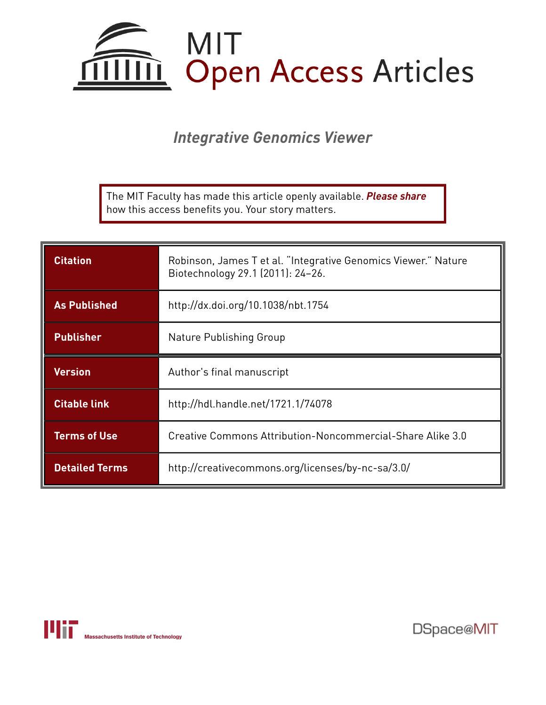

*Integrative Genomics Viewer*

The MIT Faculty has made this article openly available. *[Please](https://libraries.mit.edu/forms/dspace-oa-articles.html) share* how this access benefits you. Your story matters.

| <b>Citation</b>       | Robinson, James T et al. "Integrative Genomics Viewer." Nature<br>Biotechnology 29.1 (2011): 24-26. |
|-----------------------|-----------------------------------------------------------------------------------------------------|
| <b>As Published</b>   | http://dx.doi.org/10.1038/nbt.1754                                                                  |
| <b>Publisher</b>      | Nature Publishing Group                                                                             |
| <b>Version</b>        | Author's final manuscript                                                                           |
| <b>Citable link</b>   | http://hdl.handle.net/1721.1/74078                                                                  |
| <b>Terms of Use</b>   | Creative Commons Attribution-Noncommercial-Share Alike 3.0                                          |
| <b>Detailed Terms</b> | http://creativecommons.org/licenses/by-nc-sa/3.0/                                                   |



DSpace@MIT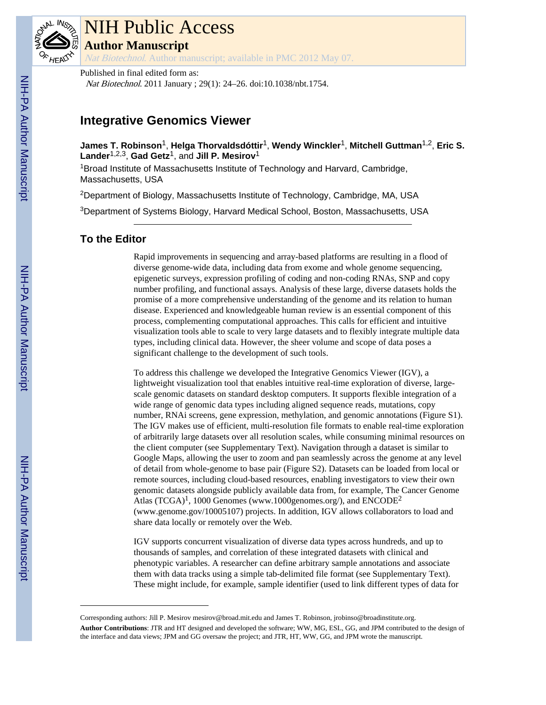

# NIH Public Access

**Author Manuscript**

Nat Biotechnol. Author manuscript; available in PMC 2012 May 07.

Published in final edited form as: Nat Biotechnol. 2011 January ; 29(1): 24–26. doi:10.1038/nbt.1754.

# **Integrative Genomics Viewer**

**James T. Robinson**1, **Helga Thorvaldsdóttir**1, **Wendy Winckler**1, **Mitchell Guttman**1,2, **Eric S. Lander**1,2,3, **Gad Getz**1, and **Jill P. Mesirov**<sup>1</sup>

<sup>1</sup>Broad Institute of Massachusetts Institute of Technology and Harvard, Cambridge, Massachusetts, USA

<sup>2</sup>Department of Biology, Massachusetts Institute of Technology, Cambridge, MA, USA

<sup>3</sup>Department of Systems Biology, Harvard Medical School, Boston, Massachusetts, USA

# **To the Editor**

Rapid improvements in sequencing and array-based platforms are resulting in a flood of diverse genome-wide data, including data from exome and whole genome sequencing, epigenetic surveys, expression profiling of coding and non-coding RNAs, SNP and copy number profiling, and functional assays. Analysis of these large, diverse datasets holds the promise of a more comprehensive understanding of the genome and its relation to human disease. Experienced and knowledgeable human review is an essential component of this process, complementing computational approaches. This calls for efficient and intuitive visualization tools able to scale to very large datasets and to flexibly integrate multiple data types, including clinical data. However, the sheer volume and scope of data poses a significant challenge to the development of such tools.

To address this challenge we developed the Integrative Genomics Viewer (IGV), a lightweight visualization tool that enables intuitive real-time exploration of diverse, largescale genomic datasets on standard desktop computers. It supports flexible integration of a wide range of genomic data types including aligned sequence reads, mutations, copy number, RNAi screens, gene expression, methylation, and genomic annotations (Figure S1). The IGV makes use of efficient, multi-resolution file formats to enable real-time exploration of arbitrarily large datasets over all resolution scales, while consuming minimal resources on the client computer (see Supplementary Text). Navigation through a dataset is similar to Google Maps, allowing the user to zoom and pan seamlessly across the genome at any level of detail from whole-genome to base pair (Figure S2). Datasets can be loaded from local or remote sources, including cloud-based resources, enabling investigators to view their own genomic datasets alongside publicly available data from, for example, The Cancer Genome Atlas  $(TCGA)^1$ , 1000 Genomes (www.1000genomes.org/), and  $ENCODE^2$ (www.genome.gov/10005107) projects. In addition, IGV allows collaborators to load and share data locally or remotely over the Web.

IGV supports concurrent visualization of diverse data types across hundreds, and up to thousands of samples, and correlation of these integrated datasets with clinical and phenotypic variables. A researcher can define arbitrary sample annotations and associate them with data tracks using a simple tab-delimited file format (see Supplementary Text). These might include, for example, sample identifier (used to link different types of data for

Corresponding authors: Jill P. Mesirov mesirov@broad.mit.edu and James T. Robinson, jrobinso@broadinstitute.org. **Author Contributions**: JTR and HT designed and developed the software; WW, MG, ESL, GG, and JPM contributed to the design of the interface and data views; JPM and GG oversaw the project; and JTR, HT, WW, GG, and JPM wrote the manuscript.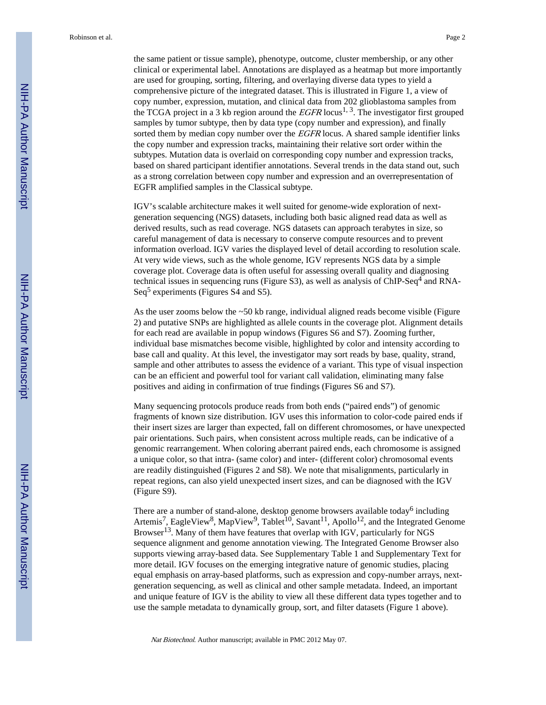the same patient or tissue sample), phenotype, outcome, cluster membership, or any other clinical or experimental label. Annotations are displayed as a heatmap but more importantly are used for grouping, sorting, filtering, and overlaying diverse data types to yield a comprehensive picture of the integrated dataset. This is illustrated in Figure 1, a view of copy number, expression, mutation, and clinical data from 202 glioblastoma samples from the TCGA project in a 3 kb region around the  $EGFR$  locus<sup>1, 3</sup>. The investigator first grouped samples by tumor subtype, then by data type (copy number and expression), and finally sorted them by median copy number over the *EGFR* locus. A shared sample identifier links the copy number and expression tracks, maintaining their relative sort order within the subtypes. Mutation data is overlaid on corresponding copy number and expression tracks, based on shared participant identifier annotations. Several trends in the data stand out, such as a strong correlation between copy number and expression and an overrepresentation of EGFR amplified samples in the Classical subtype.

IGV's scalable architecture makes it well suited for genome-wide exploration of nextgeneration sequencing (NGS) datasets, including both basic aligned read data as well as derived results, such as read coverage. NGS datasets can approach terabytes in size, so careful management of data is necessary to conserve compute resources and to prevent information overload. IGV varies the displayed level of detail according to resolution scale. At very wide views, such as the whole genome, IGV represents NGS data by a simple coverage plot. Coverage data is often useful for assessing overall quality and diagnosing technical issues in sequencing runs (Figure S3), as well as analysis of ChIP-Seq<sup>4</sup> and RNA-Seq<sup>5</sup> experiments (Figures S4 and S5).

As the user zooms below the  $\sim$ 50 kb range, individual aligned reads become visible (Figure 2) and putative SNPs are highlighted as allele counts in the coverage plot. Alignment details for each read are available in popup windows (Figures S6 and S7). Zooming further, individual base mismatches become visible, highlighted by color and intensity according to base call and quality. At this level, the investigator may sort reads by base, quality, strand, sample and other attributes to assess the evidence of a variant. This type of visual inspection can be an efficient and powerful tool for variant call validation, eliminating many false positives and aiding in confirmation of true findings (Figures S6 and S7).

Many sequencing protocols produce reads from both ends ("paired ends") of genomic fragments of known size distribution. IGV uses this information to color-code paired ends if their insert sizes are larger than expected, fall on different chromosomes, or have unexpected pair orientations. Such pairs, when consistent across multiple reads, can be indicative of a genomic rearrangement. When coloring aberrant paired ends, each chromosome is assigned a unique color, so that intra- (same color) and inter- (different color) chromosomal events are readily distinguished (Figures 2 and S8). We note that misalignments, particularly in repeat regions, can also yield unexpected insert sizes, and can be diagnosed with the IGV (Figure S9).

There are a number of stand-alone, desktop genome browsers available today<sup>6</sup> including Artemis<sup>7</sup>, EagleView<sup>8</sup>, MapView<sup>9</sup>, Tablet<sup>10</sup>, Savant<sup>11</sup>, Apollo<sup>12</sup>, and the Integrated Genome Browser13. Many of them have features that overlap with IGV, particularly for NGS sequence alignment and genome annotation viewing. The Integrated Genome Browser also supports viewing array-based data. See Supplementary Table 1 and Supplementary Text for more detail. IGV focuses on the emerging integrative nature of genomic studies, placing equal emphasis on array-based platforms, such as expression and copy-number arrays, nextgeneration sequencing, as well as clinical and other sample metadata. Indeed, an important and unique feature of IGV is the ability to view all these different data types together and to use the sample metadata to dynamically group, sort, and filter datasets (Figure 1 above).

Nat Biotechnol. Author manuscript; available in PMC 2012 May 07.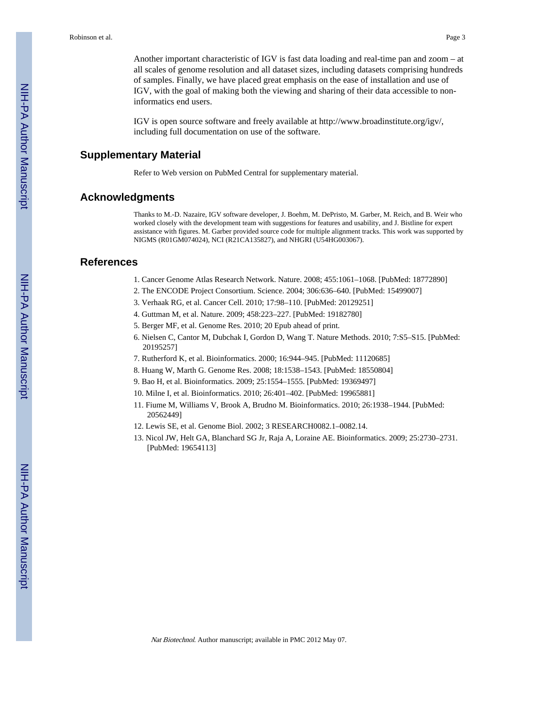Another important characteristic of IGV is fast data loading and real-time pan and zoom – at all scales of genome resolution and all dataset sizes, including datasets comprising hundreds of samples. Finally, we have placed great emphasis on the ease of installation and use of IGV, with the goal of making both the viewing and sharing of their data accessible to noninformatics end users.

IGV is open source software and freely available at <http://www.broadinstitute.org/igv/>, including full documentation on use of the software.

#### **Supplementary Material**

Refer to Web version on PubMed Central for supplementary material.

## **Acknowledgments**

Thanks to M.-D. Nazaire, IGV software developer, J. Boehm, M. DePristo, M. Garber, M. Reich, and B. Weir who worked closely with the development team with suggestions for features and usability, and J. Bistline for expert assistance with figures. M. Garber provided source code for multiple alignment tracks. This work was supported by NIGMS (R01GM074024), NCI (R21CA135827), and NHGRI (U54HG003067).

### **References**

- 1. Cancer Genome Atlas Research Network. Nature. 2008; 455:1061–1068. [PubMed: 18772890]
- 2. The ENCODE Project Consortium. Science. 2004; 306:636–640. [PubMed: 15499007]
- 3. Verhaak RG, et al. Cancer Cell. 2010; 17:98–110. [PubMed: 20129251]
- 4. Guttman M, et al. Nature. 2009; 458:223–227. [PubMed: 19182780]
- 5. Berger MF, et al. Genome Res. 2010; 20 Epub ahead of print.
- 6. Nielsen C, Cantor M, Dubchak I, Gordon D, Wang T. Nature Methods. 2010; 7:S5–S15. [PubMed: 20195257]
- 7. Rutherford K, et al. Bioinformatics. 2000; 16:944–945. [PubMed: 11120685]
- 8. Huang W, Marth G. Genome Res. 2008; 18:1538–1543. [PubMed: 18550804]
- 9. Bao H, et al. Bioinformatics. 2009; 25:1554–1555. [PubMed: 19369497]
- 10. Milne I, et al. Bioinformatics. 2010; 26:401–402. [PubMed: 19965881]
- 11. Fiume M, Williams V, Brook A, Brudno M. Bioinformatics. 2010; 26:1938–1944. [PubMed: 20562449]
- 12. Lewis SE, et al. Genome Biol. 2002; 3 RESEARCH0082.1–0082.14.
- 13. Nicol JW, Helt GA, Blanchard SG Jr, Raja A, Loraine AE. Bioinformatics. 2009; 25:2730–2731. [PubMed: 19654113]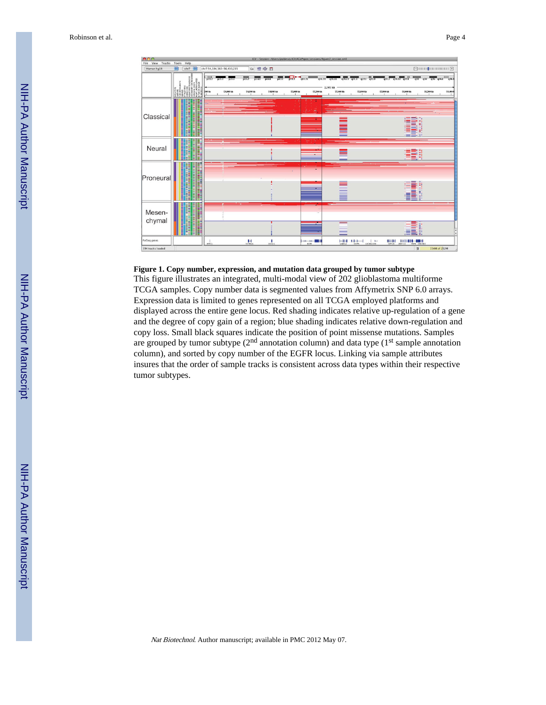

#### **Figure 1. Copy number, expression, and mutation data grouped by tumor subtype**

This figure illustrates an integrated, multi-modal view of 202 glioblastoma multiforme TCGA samples. Copy number data is segmented values from Affymetrix SNP 6.0 arrays. Expression data is limited to genes represented on all TCGA employed platforms and displayed across the entire gene locus. Red shading indicates relative up-regulation of a gene and the degree of copy gain of a region; blue shading indicates relative down-regulation and copy loss. Small black squares indicate the position of point missense mutations. Samples are grouped by tumor subtype  $(2<sup>nd</sup>$  annotation column) and data type  $(1<sup>st</sup>$  sample annotation column), and sorted by copy number of the EGFR locus. Linking via sample attributes insures that the order of sample tracks is consistent across data types within their respective tumor subtypes.